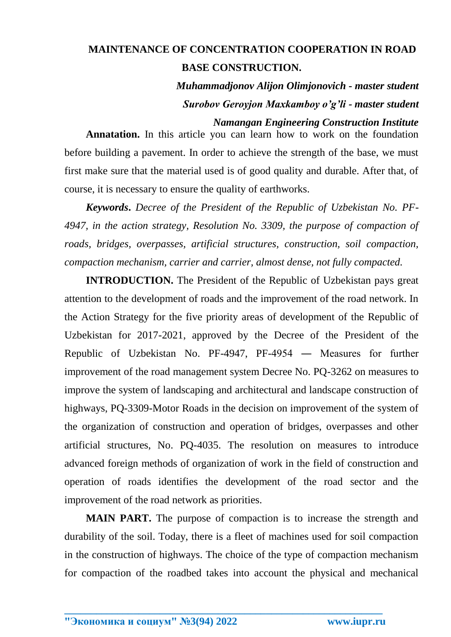## **MAINTENANCE OF CONCENTRATION COOPERATION IN ROAD BASE CONSTRUCTION.**

*Muhammadjonov Alijon Olimjonovich - master student Surobov Geroyjon Maxkamboy o'g'li - master student*

## *Namangan Engineering Construction Institute*

**Annatation.** In this article you can learn how to work on the foundation before building a pavement. In order to achieve the strength of the base, we must first make sure that the material used is of good quality and durable. After that, of course, it is necessary to ensure the quality of earthworks.

*Keywords***.** *Decree of the President of the Republic of Uzbekistan No. PF-4947, in the action strategy, Resolution No. 3309, the purpose of compaction of roads, bridges, overpasses, artificial structures, construction, soil compaction, compaction mechanism, carrier and carrier, almost dense, not fully compacted.*

**INTRODUCTION.** The President of the Republic of Uzbekistan pays great attention to the development of roads and the improvement of the road network. In the Action Strategy for the five priority areas of development of the Republic of Uzbekistan for 2017-2021, approved by the Decree of the President of the Republic of Uzbekistan No. PF-4947, PF-4954 ― Measures for further improvement of the road management system Decree No. PQ-3262 on measures to improve the system of landscaping and architectural and landscape construction of highways, PQ-3309-Motor Roads in the decision on improvement of the system of the organization of construction and operation of bridges, overpasses and other artificial structures, No. PQ-4035. The resolution on measures to introduce advanced foreign methods of organization of work in the field of construction and operation of roads identifies the development of the road sector and the improvement of the road network as priorities.

**MAIN PART.** The purpose of compaction is to increase the strength and durability of the soil. Today, there is a fleet of machines used for soil compaction in the construction of highways. The choice of the type of compaction mechanism for compaction of the roadbed takes into account the physical and mechanical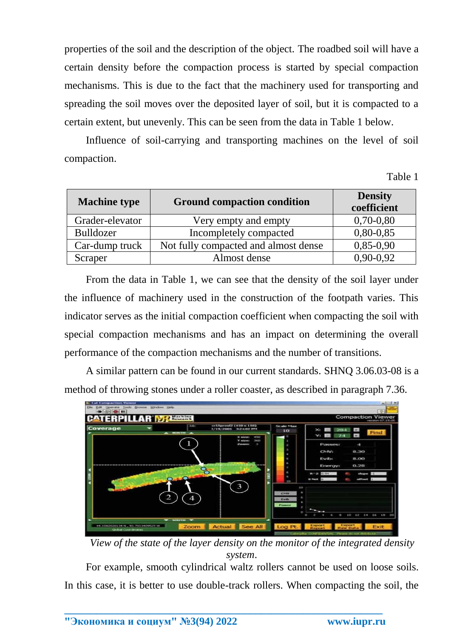properties of the soil and the description of the object. The roadbed soil will have a certain density before the compaction process is started by special compaction mechanisms. This is due to the fact that the machinery used for transporting and spreading the soil moves over the deposited layer of soil, but it is compacted to a certain extent, but unevenly. This can be seen from the data in Table 1 below.

Influence of soil-carrying and transporting machines on the level of soil compaction.

Table 1

| <b>Machine type</b> | <b>Ground compaction condition</b>   | <b>Density</b><br>coefficient |  |
|---------------------|--------------------------------------|-------------------------------|--|
| Grader-elevator     | Very empty and empty                 | $0,70-0,80$                   |  |
| <b>Bulldozer</b>    | Incompletely compacted               | $0,80-0,85$                   |  |
| Car-dump truck      | Not fully compacted and almost dense | $0,85-0,90$                   |  |
| Scraper             | Almost dense                         | $0,90-0,92$                   |  |

From the data in Table 1, we can see that the density of the soil layer under the influence of machinery used in the construction of the footpath varies. This indicator serves as the initial compaction coefficient when compacting the soil with special compaction mechanisms and has an impact on determining the overall performance of the compaction mechanisms and the number of transitions.

A similar pattern can be found in our current standards. SHNQ 3.06.03-08 is a method of throwing stones under a roller coaster, as described in paragraph 7.36.



*View of the state of the layer density on the monitor of the integrated density system*.

For example, smooth cylindrical waltz rollers cannot be used on loose soils. In this case, it is better to use double-track rollers. When compacting the soil, the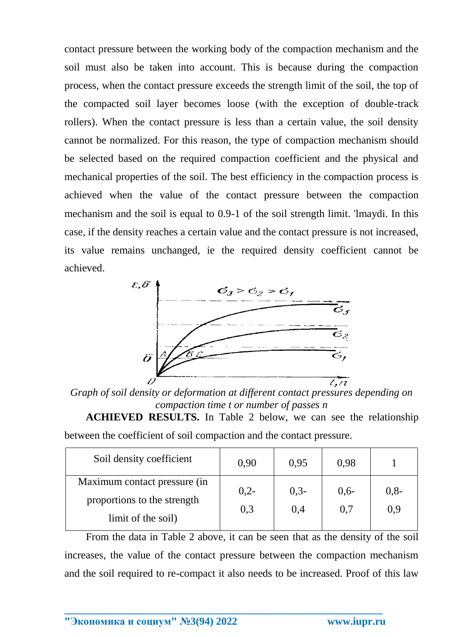contact pressure between the working body of the compaction mechanism and the soil must also be taken into account. This is because during the compaction process, when the contact pressure exceeds the strength limit of the soil, the top of the compacted soil layer becomes loose (with the exception of double-track rollers). When the contact pressure is less than a certain value, the soil density cannot be normalized. For this reason, the type of compaction mechanism should be selected based on the required compaction coefficient and the physical and mechanical properties of the soil. The best efficiency in the compaction process is achieved when the value of the contact pressure between the compaction mechanism and the soil is equal to 0.9-1 of the soil strength limit. 'lmaydi. In this case, if the density reaches a certain value and the contact pressure is not increased, its value remains unchanged, ie the required density coefficient cannot be achieved.



*Graph of soil density or deformation at different contact pressures depending on compaction time t or number of passes n*

**ACHIEVED RESULTS.** In Table 2 below, we can see the relationship between the coefficient of soil compaction and the contact pressure.

| Soil density coefficient     | 0,90          | 0.95          | 0,98          |               |
|------------------------------|---------------|---------------|---------------|---------------|
| Maximum contact pressure (in | $0,2-$<br>0,3 | $0,3-$<br>0,4 | $0,6-$<br>0,7 | $0,8-$<br>0,9 |
| proportions to the strength  |               |               |               |               |
| limit of the soil)           |               |               |               |               |

From the data in Table 2 above, it can be seen that as the density of the soil increases, the value of the contact pressure between the compaction mechanism and the soil required to re-compact it also needs to be increased. Proof of this law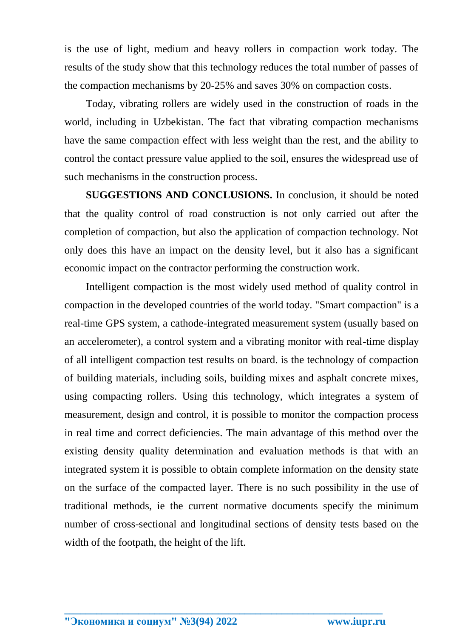is the use of light, medium and heavy rollers in compaction work today. The results of the study show that this technology reduces the total number of passes of the compaction mechanisms by 20-25% and saves 30% on compaction costs.

Today, vibrating rollers are widely used in the construction of roads in the world, including in Uzbekistan. The fact that vibrating compaction mechanisms have the same compaction effect with less weight than the rest, and the ability to control the contact pressure value applied to the soil, ensures the widespread use of such mechanisms in the construction process.

**SUGGESTIONS AND CONCLUSIONS.** In conclusion, it should be noted that the quality control of road construction is not only carried out after the completion of compaction, but also the application of compaction technology. Not only does this have an impact on the density level, but it also has a significant economic impact on the contractor performing the construction work.

Intelligent compaction is the most widely used method of quality control in compaction in the developed countries of the world today. "Smart compaction" is a real-time GPS system, a cathode-integrated measurement system (usually based on an accelerometer), a control system and a vibrating monitor with real-time display of all intelligent compaction test results on board. is the technology of compaction of building materials, including soils, building mixes and asphalt concrete mixes, using compacting rollers. Using this technology, which integrates a system of measurement, design and control, it is possible to monitor the compaction process in real time and correct deficiencies. The main advantage of this method over the existing density quality determination and evaluation methods is that with an integrated system it is possible to obtain complete information on the density state on the surface of the compacted layer. There is no such possibility in the use of traditional methods, ie the current normative documents specify the minimum number of cross-sectional and longitudinal sections of density tests based on the width of the footpath, the height of the lift.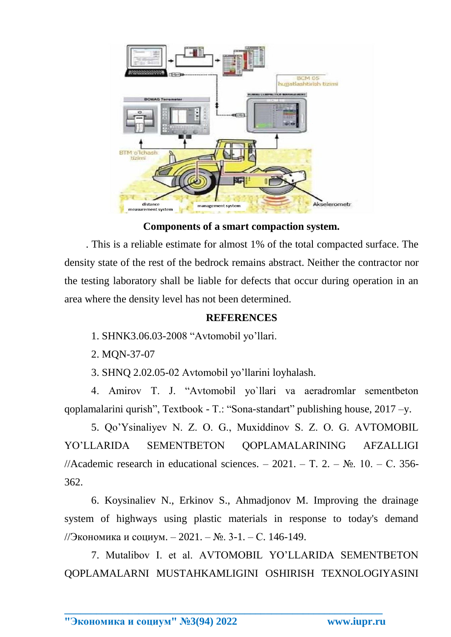

**Components of a smart compaction system.**

. This is a reliable estimate for almost 1% of the total compacted surface. The density state of the rest of the bedrock remains abstract. Neither the contractor nor the testing laboratory shall be liable for defects that occur during operation in an area where the density level has not been determined.

## **REFERENCES**

- 1. SHNK3.06.03-2008 "Avtomobil yo'llari.
- 2. MQN-37-07

3. SHNQ 2.02.05-02 Avtomobil yo'llarini loyhalash.

4. Amirov T. J. "Avtomobil yo`llari va aeradromlar sementbeton qoplamalarini qurish", Textbook - T.: "Sona-standart" publishing house, 2017 –y.

5. Qo'Ysinaliyev N. Z. O. G., Muxiddinov S. Z. O. G. AVTOMOBIL YO'LLARIDA SEMENTBETON QOPLAMALARINING AFZALLIGI //Academic research in educational sciences. – 2021. – T. 2. –  $\mathbb{N}_2$ . 10. – C. 356-362.

6. Koysinaliev N., Erkinov S., Ahmadjonov M. Improving the drainage system of highways using plastic materials in response to today's demand //Экономика и социум. – 2021. – №. 3-1. – С. 146-149.

7. Mutalibov I. et al. AVTOMOBIL YO'LLARIDA SEMENTBETON QOPLAMALARNI MUSTAHKAMLIGINI OSHIRISH TEXNOLOGIYASINI